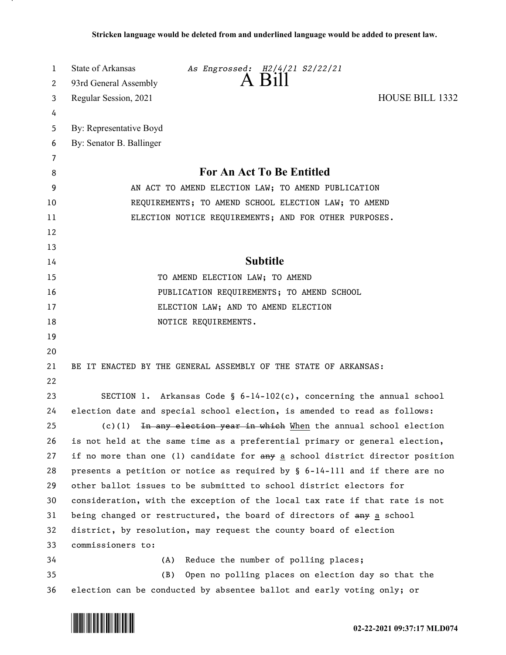| 1<br>2 | State of Arkansas<br>As Engrossed: H2/4/21 S2/22/21<br>93rd General Assembly   |
|--------|--------------------------------------------------------------------------------|
| 3      | <b>HOUSE BILL 1332</b><br>Regular Session, 2021                                |
| 4      |                                                                                |
| 5      | By: Representative Boyd                                                        |
| 6      | By: Senator B. Ballinger                                                       |
| 7      |                                                                                |
| 8      | <b>For An Act To Be Entitled</b>                                               |
| 9      | AN ACT TO AMEND ELECTION LAW; TO AMEND PUBLICATION                             |
| 10     | REQUIREMENTS; TO AMEND SCHOOL ELECTION LAW; TO AMEND                           |
| 11     | ELECTION NOTICE REQUIREMENTS; AND FOR OTHER PURPOSES.                          |
| 12     |                                                                                |
| 13     |                                                                                |
| 14     | <b>Subtitle</b>                                                                |
| 15     | TO AMEND ELECTION LAW; TO AMEND                                                |
| 16     | PUBLICATION REQUIREMENTS; TO AMEND SCHOOL                                      |
| 17     | ELECTION LAW; AND TO AMEND ELECTION                                            |
| 18     | NOTICE REQUIREMENTS.                                                           |
| 19     |                                                                                |
| 20     |                                                                                |
| 21     | BE IT ENACTED BY THE GENERAL ASSEMBLY OF THE STATE OF ARKANSAS:                |
| 22     |                                                                                |
| 23     | SECTION 1. Arkansas Code § $6-14-102(c)$ , concerning the annual school        |
| 24     | election date and special school election, is amended to read as follows:      |
| 25     | $(c)(1)$ In any election year in which When the annual school election         |
| 26     | is not held at the same time as a preferential primary or general election,    |
| 27     | if no more than one (1) candidate for any a school district director position  |
| 28     | presents a petition or notice as required by $\S$ 6-14-111 and if there are no |
| 29     | other ballot issues to be submitted to school district electors for            |
| 30     | consideration, with the exception of the local tax rate if that rate is not    |
| 31     | being changed or restructured, the board of directors of any a school          |
| 32     | district, by resolution, may request the county board of election              |
| 33     | commissioners to:                                                              |
| 34     | Reduce the number of polling places;<br>(A)                                    |
| 35     | (B)<br>Open no polling places on election day so that the                      |
| 36     | election can be conducted by absentee ballot and early voting only; or         |

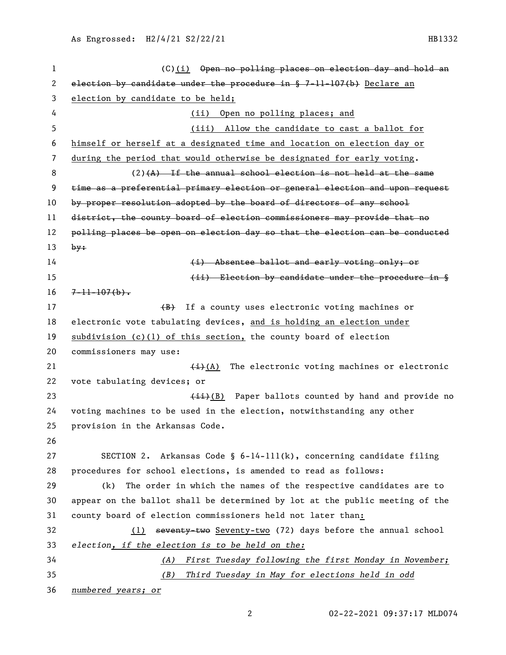1 (C)(i) Open no polling places on election day and hold an 2 election by candidate under the procedure in  $$ 7-11-107(b)$  Declare an election by candidate to be held; (ii) Open no polling places; and (iii) Allow the candidate to cast a ballot for himself or herself at a designated time and location on election day or during the period that would otherwise be designated for early voting.  $(2)$ (A) If the annual school election is not held at the same time as a preferential primary election or general election and upon request by proper resolution adopted by the board of directors of any school 11 district, the county board of election commissioners may provide that no 12 polling places be open on election day so that the election can be conducted by: **(i)** Absentee ballot and early voting only; or **Election by candidate under the procedure in §**  $16 \frac{7-11-107(b)}{6}$ . 17 (B) If a county uses electronic voting machines or electronic vote tabulating devices, and is holding an election under subdivision (c)(1) of this section, the county board of election commissioners may use:  $\leftarrow$  (A) The electronic voting machines or electronic vote tabulating devices; or  $\leftarrow$   $\leftarrow$   $\leftarrow$   $\leftarrow$   $\leftarrow$   $\leftarrow$   $\leftarrow$   $\leftarrow$   $\leftarrow$   $\leftarrow$   $\leftarrow$   $\leftarrow$   $\leftarrow$   $\leftarrow$   $\leftarrow$   $\leftarrow$   $\leftarrow$   $\leftarrow$   $\leftarrow$   $\leftarrow$   $\leftarrow$   $\leftarrow$   $\leftarrow$   $\leftarrow$   $\leftarrow$   $\leftarrow$   $\leftarrow$   $\leftarrow$   $\leftarrow$   $\leftarrow$   $\leftarrow$   $\leftarrow$   $\leftarrow$   $\leftarrow$   $\leftarrow$   $\leftarrow$   $\$  voting machines to be used in the election, notwithstanding any other provision in the Arkansas Code. SECTION 2. Arkansas Code § 6-14-111(k), concerning candidate filing procedures for school elections, is amended to read as follows: (k) The order in which the names of the respective candidates are to appear on the ballot shall be determined by lot at the public meeting of the county board of election commissioners held not later than: (1) seventy-two Seventy-two (72) days before the annual school *election, if the election is to be held on the: (A) First Tuesday following the first Monday in November; (B) Third Tuesday in May for elections held in odd numbered years; or*

02-22-2021 09:37:17 MLD074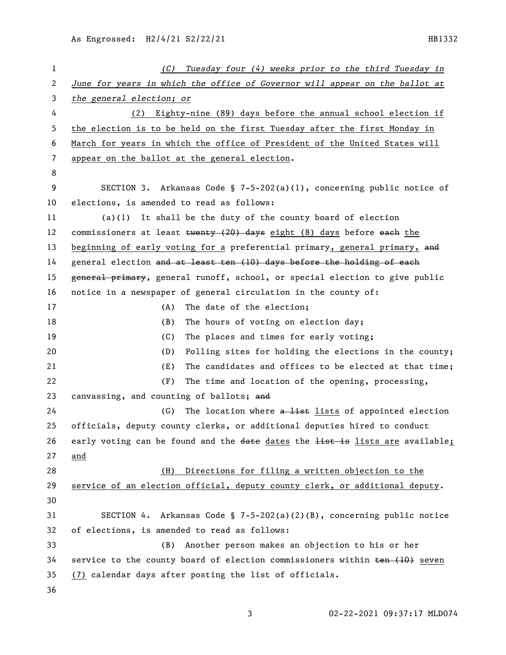| 1  | Tuesday four (4) weeks prior to the third Tuesday in<br>(C)                                                                                                                                                                                                                                                    |
|----|----------------------------------------------------------------------------------------------------------------------------------------------------------------------------------------------------------------------------------------------------------------------------------------------------------------|
| 2  | June for years in which the office of Governor will appear on the ballot at                                                                                                                                                                                                                                    |
| 3  | the general election; or                                                                                                                                                                                                                                                                                       |
| 4  | Eighty-nine (89) days before the annual school election if<br>(2)                                                                                                                                                                                                                                              |
| 5  | the election is to be held on the first Tuesday after the first Monday in                                                                                                                                                                                                                                      |
| 6  | March for years in which the office of President of the United States will                                                                                                                                                                                                                                     |
| 7  | appear on the ballot at the general election.                                                                                                                                                                                                                                                                  |
| 8  |                                                                                                                                                                                                                                                                                                                |
| 9  | SECTION 3. Arkansas Code § 7-5-202(a)(1), concerning public notice of                                                                                                                                                                                                                                          |
| 10 | elections, is amended to read as follows:                                                                                                                                                                                                                                                                      |
| 11 | $(a)(1)$ It shall be the duty of the county board of election                                                                                                                                                                                                                                                  |
| 12 | commissioners at least $\frac{1}{2}$ $\frac{1}{2}$ $\frac{1}{2}$ $\frac{1}{2}$ $\frac{1}{2}$ $\frac{1}{2}$ $\frac{1}{2}$ $\frac{1}{2}$ $\frac{1}{2}$ $\frac{1}{2}$ $\frac{1}{2}$ $\frac{1}{2}$ $\frac{1}{2}$ $\frac{1}{2}$ $\frac{1}{2}$ $\frac{1}{2}$ $\frac{1}{2}$ $\frac{1}{2}$ $\frac{1}{2}$ $\frac{1}{2}$ |
| 13 | beginning of early voting for a preferential primary, general primary, and                                                                                                                                                                                                                                     |
| 14 | general election and at least ten (10) days before the holding of each                                                                                                                                                                                                                                         |
| 15 | general primary, general runoff, school, or special election to give public                                                                                                                                                                                                                                    |
| 16 | notice in a newspaper of general circulation in the county of:                                                                                                                                                                                                                                                 |
| 17 | The date of the election;<br>(A)                                                                                                                                                                                                                                                                               |
| 18 | (B)<br>The hours of voting on election day;                                                                                                                                                                                                                                                                    |
| 19 | (C)<br>The places and times for early voting;                                                                                                                                                                                                                                                                  |
| 20 | (D)<br>Polling sites for holding the elections in the county;                                                                                                                                                                                                                                                  |
| 21 | (E)<br>The candidates and offices to be elected at that time;                                                                                                                                                                                                                                                  |
| 22 | (F)<br>The time and location of the opening, processing,                                                                                                                                                                                                                                                       |
| 23 | canvassing, and counting of ballots; and                                                                                                                                                                                                                                                                       |
| 24 | (G)<br>The location where a list lists of appointed election                                                                                                                                                                                                                                                   |
| 25 | officials, deputy county clerks, or additional deputies hired to conduct                                                                                                                                                                                                                                       |
| 26 | early voting can be found and the date dates the list is lists are available;                                                                                                                                                                                                                                  |
| 27 | and                                                                                                                                                                                                                                                                                                            |
| 28 | Directions for filing a written objection to the<br>(H)                                                                                                                                                                                                                                                        |
| 29 | service of an election official, deputy county clerk, or additional deputy.                                                                                                                                                                                                                                    |
| 30 |                                                                                                                                                                                                                                                                                                                |
| 31 | SECTION 4. Arkansas Code § 7-5-202(a)(2)(B), concerning public notice                                                                                                                                                                                                                                          |
| 32 | of elections, is amended to read as follows:                                                                                                                                                                                                                                                                   |
| 33 | Another person makes an objection to his or her<br>(B)                                                                                                                                                                                                                                                         |
| 34 | service to the county board of election commissioners within ten (10) seven                                                                                                                                                                                                                                    |
| 35 | (7) calendar days after posting the list of officials.                                                                                                                                                                                                                                                         |
| 36 |                                                                                                                                                                                                                                                                                                                |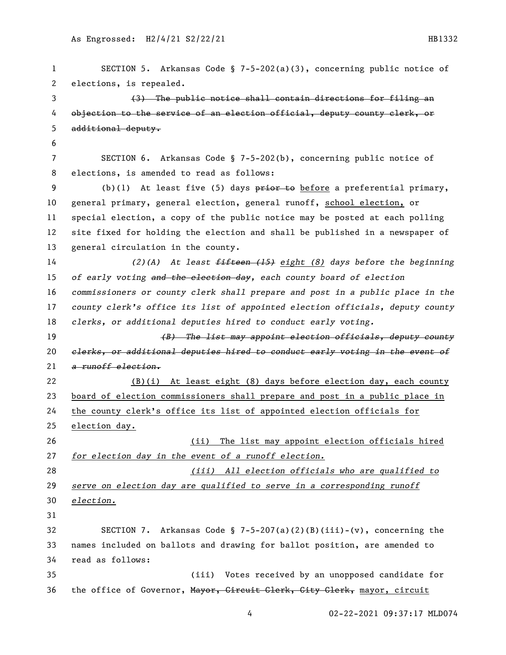SECTION 5. Arkansas Code § 7-5-202(a)(3), concerning public notice of elections, is repealed. (3) The public notice shall contain directions for filing an 4 objection to the service of an election official, deputy county clerk, or additional deputy. SECTION 6. Arkansas Code § 7-5-202(b), concerning public notice of elections, is amended to read as follows: 9 (b)(1) At least five (5) days prior to before a preferential primary, general primary, general election, general runoff, school election, or special election, a copy of the public notice may be posted at each polling site fixed for holding the election and shall be published in a newspaper of general circulation in the county. *(2)(A) At least fifteen (15) eight (8) days before the beginning of early voting and the election day, each county board of election commissioners or county clerk shall prepare and post in a public place in the county clerk's office its list of appointed election officials, deputy county clerks, or additional deputies hired to conduct early voting. (B) The list may appoint election officials, deputy county clerks, or additional deputies hired to conduct early voting in the event of a runoff election.* (B)(i) At least eight (8) days before election day, each county board of election commissioners shall prepare and post in a public place in the county clerk's office its list of appointed election officials for election day. (ii) The list may appoint election officials hired *for election day in the event of a runoff election. (iii) All election officials who are qualified to serve on election day are qualified to serve in a corresponding runoff election.* SECTION 7. Arkansas Code § 7-5-207(a)(2)(B)(iii)-(v), concerning the names included on ballots and drawing for ballot position, are amended to read as follows: (iii) Votes received by an unopposed candidate for 36 the office of Governor, Mayor, Circuit Clerk, City Clerk, mayor, circuit

02-22-2021 09:37:17 MLD074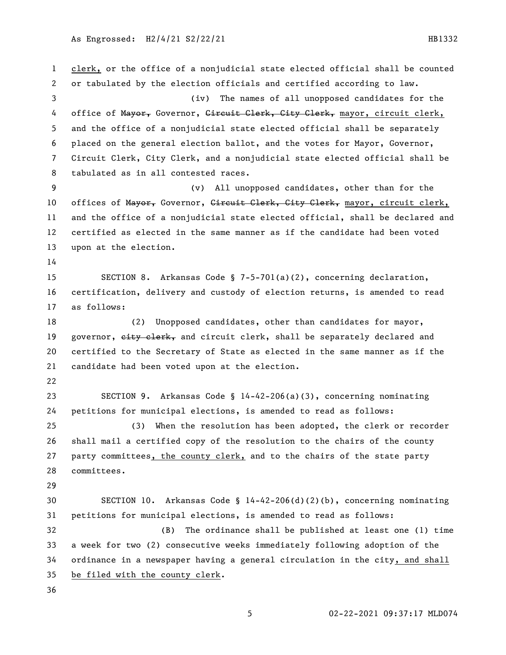clerk, or the office of a nonjudicial state elected official shall be counted or tabulated by the election officials and certified according to law. (iv) The names of all unopposed candidates for the 4 office of Mayor, Governor, Gireuit Clerk, Gity Clerk, mayor, circuit clerk, and the office of a nonjudicial state elected official shall be separately placed on the general election ballot, and the votes for Mayor, Governor, Circuit Clerk, City Clerk, and a nonjudicial state elected official shall be tabulated as in all contested races. (v) All unopposed candidates, other than for the 10 offices of Mayor, Governor, Gircuit Clerk, Gity Clerk, mayor, circuit clerk, and the office of a nonjudicial state elected official, shall be declared and certified as elected in the same manner as if the candidate had been voted upon at the election. SECTION 8. Arkansas Code § 7-5-701(a)(2), concerning declaration, certification, delivery and custody of election returns, is amended to read as follows: (2) Unopposed candidates, other than candidates for mayor, 19 governor, eity elerk, and circuit clerk, shall be separately declared and certified to the Secretary of State as elected in the same manner as if the candidate had been voted upon at the election. SECTION 9. Arkansas Code § 14-42-206(a)(3), concerning nominating petitions for municipal elections, is amended to read as follows: (3) When the resolution has been adopted, the clerk or recorder shall mail a certified copy of the resolution to the chairs of the county party committees, the county clerk, and to the chairs of the state party committees. SECTION 10. Arkansas Code § 14-42-206(d)(2)(b), concerning nominating petitions for municipal elections, is amended to read as follows: (B) The ordinance shall be published at least one (1) time a week for two (2) consecutive weeks immediately following adoption of the ordinance in a newspaper having a general circulation in the city, and shall be filed with the county clerk.